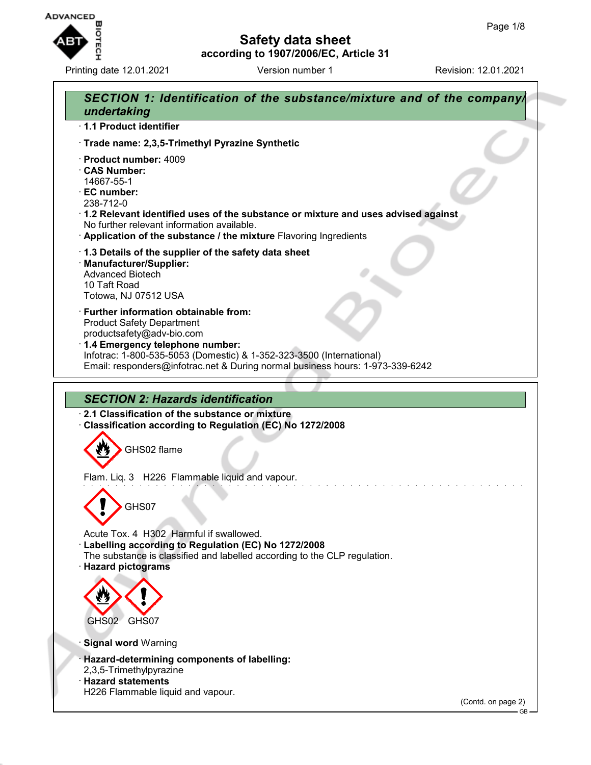

Printing date 12.01.2021 **Version number 1** Revision: 12.01.2021

# **Safety data sheet according to 1907/2006/EC, Article 31**

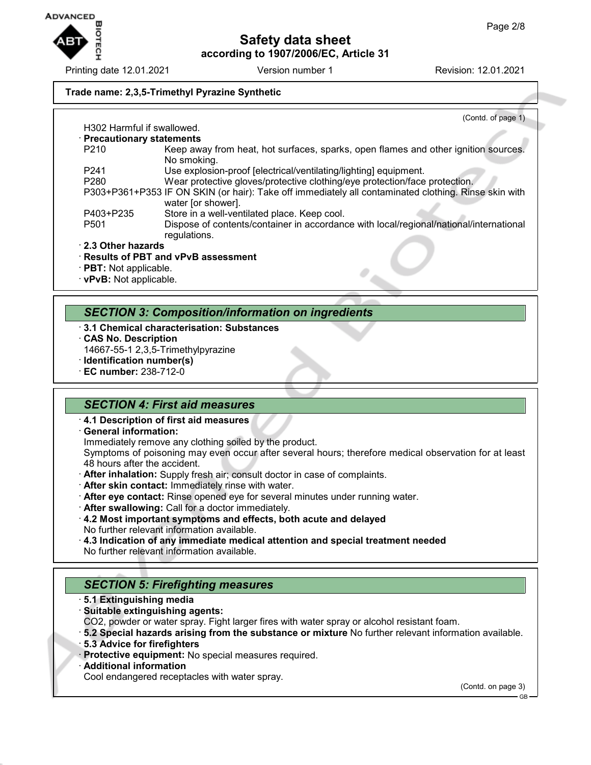

Printing date 12.01.2021 **Version number 1** Revision: 12.01.2021

## **Trade name: 2,3,5-Trimethyl Pyrazine Synthetic**

|                                        | (Contd. of page 1)                                                                                                         |
|----------------------------------------|----------------------------------------------------------------------------------------------------------------------------|
| H <sub>302</sub> Harmful if swallowed. |                                                                                                                            |
| · Precautionary statements             |                                                                                                                            |
| P <sub>210</sub>                       | Keep away from heat, hot surfaces, sparks, open flames and other ignition sources.<br>No smoking.                          |
| P <sub>241</sub>                       | Use explosion-proof [electrical/ventilating/lighting] equipment.                                                           |
| P <sub>280</sub>                       | Wear protective gloves/protective clothing/eye protection/face protection.                                                 |
|                                        | P303+P361+P353 IF ON SKIN (or hair): Take off immediately all contaminated clothing. Rinse skin with<br>water [or shower]. |
| P403+P235                              | Store in a well-ventilated place. Keep cool.                                                                               |
| P <sub>501</sub>                       | Dispose of contents/container in accordance with local/regional/national/international<br>regulations.                     |
| 2.3 Other hazards                      |                                                                                                                            |
|                                        | $\cdot$ Results of PBT and vPvB assessment                                                                                 |
| · PBT: Not applicable.                 |                                                                                                                            |

· **vPvB:** Not applicable.

## *SECTION 3: Composition/information on ingredients*

- · **3.1 Chemical characterisation: Substances**
- · **CAS No. Description**
- 14667-55-1 2,3,5-Trimethylpyrazine
- · **Identification number(s)**
- · **EC number:** 238-712-0

## *SECTION 4: First aid measures*

- · **4.1 Description of first aid measures**
- · **General information:**
- Immediately remove any clothing soiled by the product.

Symptoms of poisoning may even occur after several hours; therefore medical observation for at least 48 hours after the accident.

- · **After inhalation:** Supply fresh air; consult doctor in case of complaints.
- · **After skin contact:** Immediately rinse with water.
- · **After eye contact:** Rinse opened eye for several minutes under running water.
- · **After swallowing:** Call for a doctor immediately.
- · **4.2 Most important symptoms and effects, both acute and delayed** No further relevant information available.
- · **4.3 Indication of any immediate medical attention and special treatment needed** No further relevant information available.

# *SECTION 5: Firefighting measures*

- · **5.1 Extinguishing media**
- · **Suitable extinguishing agents:**
- CO2, powder or water spray. Fight larger fires with water spray or alcohol resistant foam.
- · **5.2 Special hazards arising from the substance or mixture** No further relevant information available.
- · **5.3 Advice for firefighters**
- · **Protective equipment:** No special measures required.
- · **Additional information**
- Cool endangered receptacles with water spray.

(Contd. on page 3)

GB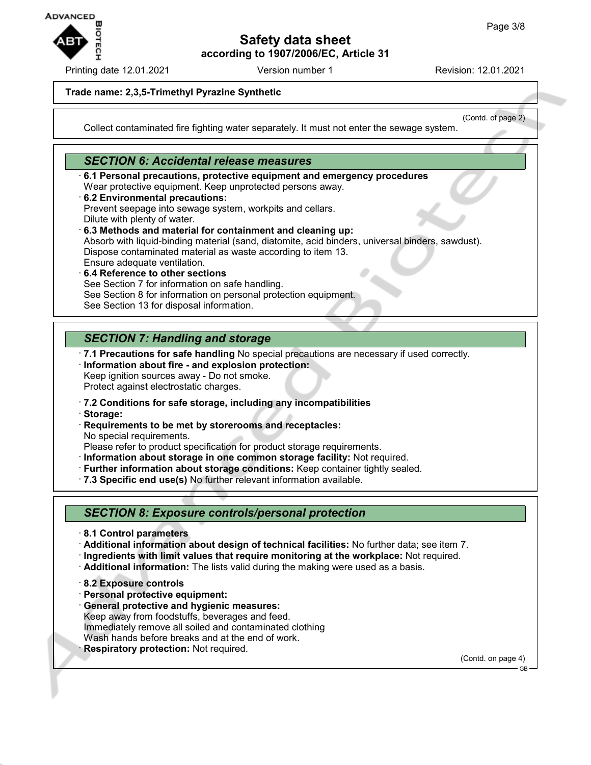

Printing date 12.01.2021 Version number 1 Revision: 12.01.2021

(Contd. of page 2)

## **Trade name: 2,3,5-Trimethyl Pyrazine Synthetic**

Collect contaminated fire fighting water separately. It must not enter the sewage system.

## *SECTION 6: Accidental release measures*

- · **6.1 Personal precautions, protective equipment and emergency procedures** Wear protective equipment. Keep unprotected persons away.
- · **6.2 Environmental precautions:** Prevent seepage into sewage system, workpits and cellars. Dilute with plenty of water. · **6.3 Methods and material for containment and cleaning up:**
- Absorb with liquid-binding material (sand, diatomite, acid binders, universal binders, sawdust). Dispose contaminated material as waste according to item 13. Ensure adequate ventilation.
- · **6.4 Reference to other sections** See Section 7 for information on safe handling. See Section 8 for information on personal protection equipment. See Section 13 for disposal information.

# *SECTION 7: Handling and storage*

- · **7.1 Precautions for safe handling** No special precautions are necessary if used correctly.
- · **Information about fire and explosion protection:** Keep ignition sources away - Do not smoke. Protect against electrostatic charges.
- · **7.2 Conditions for safe storage, including any incompatibilities**
- · **Storage:**
- · **Requirements to be met by storerooms and receptacles:** No special requirements.
- Please refer to product specification for product storage requirements.
- · **Information about storage in one common storage facility:** Not required.
- · **Further information about storage conditions:** Keep container tightly sealed.
- · **7.3 Specific end use(s)** No further relevant information available.

## *SECTION 8: Exposure controls/personal protection*

- · **8.1 Control parameters**
- · **Additional information about design of technical facilities:** No further data; see item 7.
- · **Ingredients with limit values that require monitoring at the workplace:** Not required.
- · **Additional information:** The lists valid during the making were used as a basis.
- · **8.2 Exposure controls**
- · **Personal protective equipment:**
- · **General protective and hygienic measures:** Keep away from foodstuffs, beverages and feed. Immediately remove all soiled and contaminated clothing Wash hands before breaks and at the end of work.
- **Respiratory protection: Not required.**

(Contd. on page 4)

GB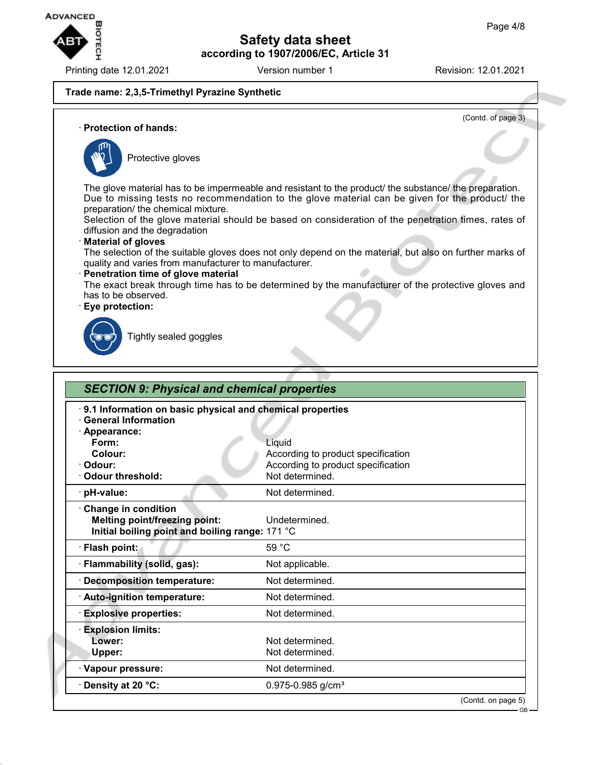

Printing date 12.01.2021 **Version number 1** Revision: 12.01.2021

## **Trade name: 2,3,5-Trimethyl Pyrazine Synthetic**

(Contd. of page 3)

GB

#### · **Protection of hands:**



Protective gloves

The glove material has to be impermeable and resistant to the product/ the substance/ the preparation. Due to missing tests no recommendation to the glove material can be given for the product/ the preparation/ the chemical mixture.

Selection of the glove material should be based on consideration of the penetration times, rates of diffusion and the degradation

#### · **Material of gloves**

The selection of the suitable gloves does not only depend on the material, but also on further marks of quality and varies from manufacturer to manufacturer.

#### · **Penetration time of glove material**

The exact break through time has to be determined by the manufacturer of the protective gloves and has to be observed.

#### · **Eye protection:**



Tightly sealed goggles

| 9.1 Information on basic physical and chemical properties<br><b>General Information</b>                        |                                    |  |
|----------------------------------------------------------------------------------------------------------------|------------------------------------|--|
| · Appearance:                                                                                                  |                                    |  |
| Form:                                                                                                          | Liquid                             |  |
| Colour:                                                                                                        | According to product specification |  |
| Odour:                                                                                                         | According to product specification |  |
| <b>Odour threshold:</b>                                                                                        | Not determined.                    |  |
| pH-value:                                                                                                      | Not determined.                    |  |
| <b>Change in condition</b><br>Melting point/freezing point:<br>Initial boiling point and boiling range: 171 °C | Undetermined.                      |  |
| · Flash point:                                                                                                 | 59 °C                              |  |
| · Flammability (solid, gas):                                                                                   | Not applicable.                    |  |
| · Decomposition temperature:                                                                                   | Not determined.                    |  |
| · Auto-ignition temperature:                                                                                   | Not determined.                    |  |
| <b>Explosive properties:</b>                                                                                   | Not determined.                    |  |
| <b>Explosion limits:</b>                                                                                       |                                    |  |
| Lower:                                                                                                         | Not determined.                    |  |
| Upper:                                                                                                         | Not determined.                    |  |
| · Vapour pressure:                                                                                             | Not determined.                    |  |
| Density at 20 °C:                                                                                              | $0.975 - 0.985$ g/cm <sup>3</sup>  |  |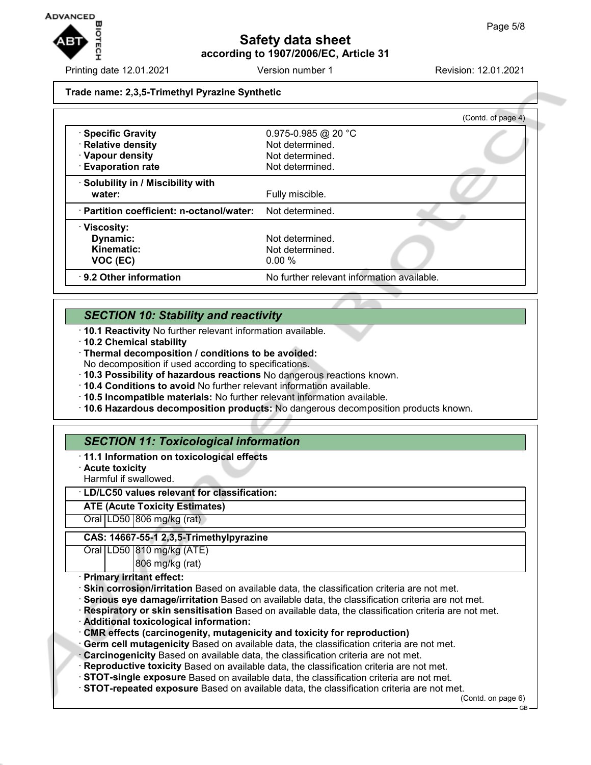

Printing date 12.01.2021 Version number 1 Revision: 12.01.2021

### **Trade name: 2,3,5-Trimethyl Pyrazine Synthetic**

|                                           | (Contd. of page 4)                         |
|-------------------------------------------|--------------------------------------------|
| · Specific Gravity                        | 0.975-0.985 @ 20 °C                        |
| · Relative density                        | Not determined.                            |
| · Vapour density                          | Not determined.                            |
| <b>Evaporation rate</b>                   | Not determined.                            |
| · Solubility in / Miscibility with        |                                            |
| water:                                    | Fully miscible.                            |
| · Partition coefficient: n-octanol/water: | Not determined.                            |
| $\cdot$ Viscosity:                        |                                            |
| Dynamic:                                  | Not determined.                            |
| Kinematic:                                | Not determined.                            |
| VOC (EC)                                  | 0.00%                                      |
| 9.2 Other information                     | No further relevant information available. |

# *SECTION 10: Stability and reactivity*

- · **10.1 Reactivity** No further relevant information available.
- · **10.2 Chemical stability**
- · **Thermal decomposition / conditions to be avoided:**
- No decomposition if used according to specifications.
- · **10.3 Possibility of hazardous reactions** No dangerous reactions known.
- · **10.4 Conditions to avoid** No further relevant information available.
- · **10.5 Incompatible materials:** No further relevant information available.
- · **10.6 Hazardous decomposition products:** No dangerous decomposition products known.

# *SECTION 11: Toxicological information*

## · **11.1 Information on toxicological effects**

- · **Acute toxicity**
- Harmful if swallowed.

## · **LD/LC50 values relevant for classification:**

**ATE (Acute Toxicity Estimates)**

Oral LD50 806 mg/kg (rat)

## **CAS: 14667-55-1 2,3,5-Trimethylpyrazine**

Oral LD50 810 mg/kg (ATE)

806 mg/kg (rat)

## · **Primary irritant effect:**

- · **Skin corrosion/irritation** Based on available data, the classification criteria are not met.
- · **Serious eye damage/irritation** Based on available data, the classification criteria are not met.
- · **Respiratory or skin sensitisation** Based on available data, the classification criteria are not met.
- · **Additional toxicological information:**
- · **CMR effects (carcinogenity, mutagenicity and toxicity for reproduction)**
- Germ cell mutagenicity Based on available data, the classification criteria are not met.
- · **Carcinogenicity** Based on available data, the classification criteria are not met.
- · **Reproductive toxicity** Based on available data, the classification criteria are not met.
- · **STOT-single exposure** Based on available data, the classification criteria are not met.
- · **STOT-repeated exposure** Based on available data, the classification criteria are not met.

(Contd. on page 6)

GB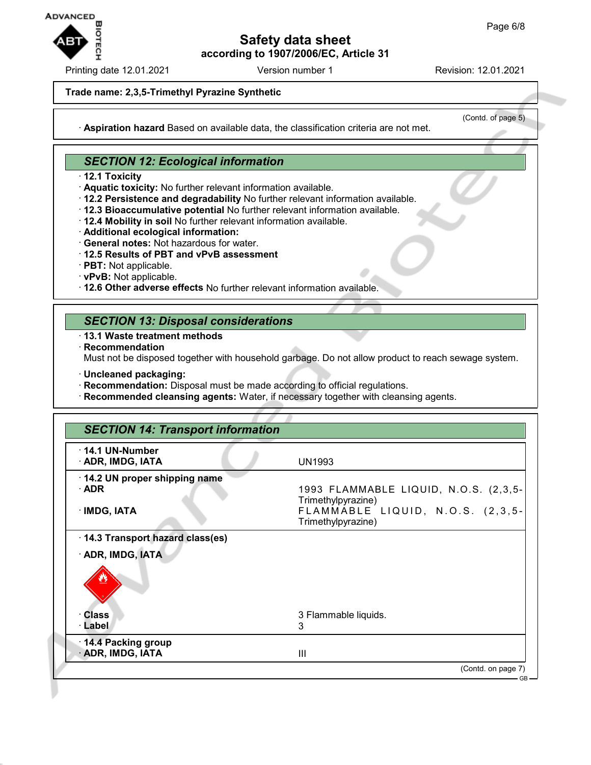

Printing date 12.01.2021 **Version number 1** Revision: 12.01.2021

#### **Trade name: 2,3,5-Trimethyl Pyrazine Synthetic**

(Contd. of page 5)

· **Aspiration hazard** Based on available data, the classification criteria are not met.

# *SECTION 12: Ecological information*

- · **12.1 Toxicity**
- · **Aquatic toxicity:** No further relevant information available.
- · **12.2 Persistence and degradability** No further relevant information available.
- · **12.3 Bioaccumulative potential** No further relevant information available.
- · **12.4 Mobility in soil** No further relevant information available.
- · **Additional ecological information:**
- · **General notes:** Not hazardous for water.
- · **12.5 Results of PBT and vPvB assessment**
- · **PBT:** Not applicable.
- · **vPvB:** Not applicable.
- · **12.6 Other adverse effects** No further relevant information available.

## *SECTION 13: Disposal considerations*

- · **13.1 Waste treatment methods**
- · **Recommendation**

Must not be disposed together with household garbage. Do not allow product to reach sewage system.

- · **Uncleaned packaging:**
- · **Recommendation:** Disposal must be made according to official regulations.
- · **Recommended cleansing agents:** Water, if necessary together with cleansing agents.

| <b>SECTION 14: Transport information</b>     |                                                             |  |
|----------------------------------------------|-------------------------------------------------------------|--|
| 14.1 UN-Number<br>· ADR, IMDG, IATA          | <b>UN1993</b>                                               |  |
| 14.2 UN proper shipping name<br>$\cdot$ ADR  | 1993 FLAMMABLE LIQUID, N.O.S. (2,3,5-<br>Trimethylpyrazine) |  |
| · IMDG, IATA                                 | FLAMMABLE LIQUID, N.O.S. (2,3,5-<br>Trimethylpyrazine)      |  |
| 14.3 Transport hazard class(es)              |                                                             |  |
| · ADR, IMDG, IATA                            |                                                             |  |
|                                              |                                                             |  |
| Class                                        | 3 Flammable liquids.                                        |  |
| · Label                                      | 3                                                           |  |
| 14.4 Packing group<br><b>ADR, IMDG, IATA</b> | $\mathbf{III}$                                              |  |
|                                              | (Contd. on page 7)                                          |  |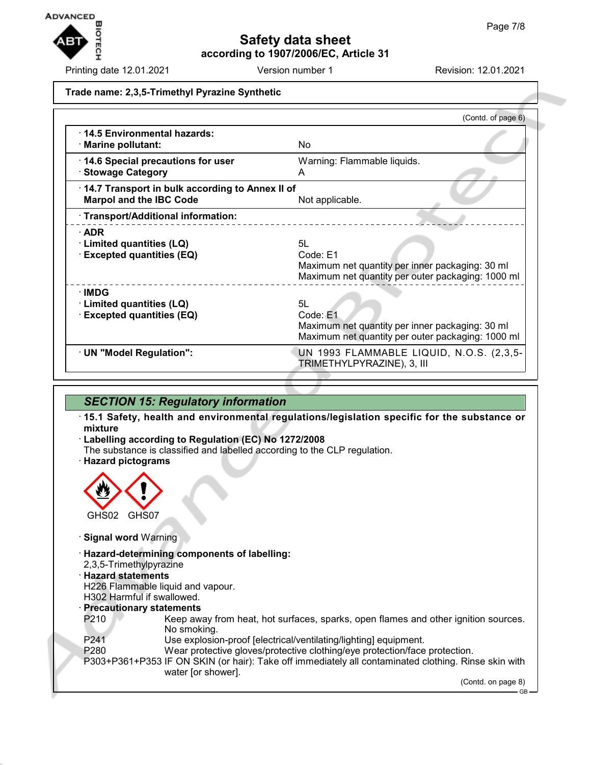

Printing date 12.01.2021 Version number 1 Revision: 12.01.2021

### **Trade name: 2,3,5-Trimethyl Pyrazine Synthetic**

|                                                                                   | (Contd. of page 6)                                                                                                     |
|-----------------------------------------------------------------------------------|------------------------------------------------------------------------------------------------------------------------|
| 14.5 Environmental hazards:<br>· Marine pollutant:                                | No.                                                                                                                    |
| 14.6 Special precautions for user<br>· Stowage Category                           | Warning: Flammable liquids.<br>A                                                                                       |
| 14.7 Transport in bulk according to Annex II of<br><b>Marpol and the IBC Code</b> | Not applicable.                                                                                                        |
| · Transport/Additional information:                                               |                                                                                                                        |
| $\cdot$ ADR<br>· Limited quantities (LQ)<br><b>Excepted quantities (EQ)</b>       | 5L<br>Code: E1<br>Maximum net quantity per inner packaging: 30 ml<br>Maximum net quantity per outer packaging: 1000 ml |
| ∙IMDG<br><b>Limited quantities (LQ)</b><br><b>Excepted quantities (EQ)</b>        | 5L<br>Code: E1<br>Maximum net quantity per inner packaging: 30 ml<br>Maximum net quantity per outer packaging: 1000 ml |
| · UN "Model Regulation":                                                          | UN 1993 FLAMMABLE LIQUID, N.O.S. (2,3,5-<br>TRIMETHYLPYRAZINE), 3, III                                                 |

## *SECTION 15: Regulatory information*

· **15.1 Safety, health and environmental regulations/legislation specific for the substance or mixture**

- · **Labelling according to Regulation (EC) No 1272/2008**
- The substance is classified and labelled according to the CLP regulation.
- · **Hazard pictograms**



- · **Signal word** Warning
- · **Hazard-determining components of labelling:**
- 2,3,5-Trimethylpyrazine
- · **Hazard statements**
- H226 Flammable liquid and vapour.
- H302 Harmful if swallowed.
- · **Precautionary statements**
- P210 Keep away from heat, hot surfaces, sparks, open flames and other ignition sources. No smoking.
- P241 Use explosion-proof [electrical/ventilating/lighting] equipment.
- P280 Wear protective gloves/protective clothing/eye protection/face protection.
- P303+P361+P353 IF ON SKIN (or hair): Take off immediately all contaminated clothing. Rinse skin with water [or shower].

(Contd. on page 8)

GB